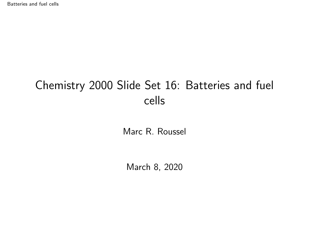<span id="page-0-0"></span>[Batteries and fuel cells](#page-14-0)

# Chemistry 2000 Slide Set 16: Batteries and fuel cells

Marc R. Roussel

March 8, 2020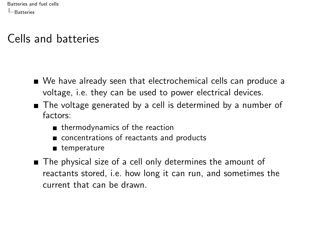## <span id="page-1-0"></span>Cells and batteries

- We have already seen that electrochemical cells can produce a voltage, i.e. they can be used to power electrical devices.
- The voltage generated by a cell is determined by a number of factors:
	- thermodynamics of the reaction
	- concentrations of reactants and products
	- temperature
- The physical size of a cell only determines the amount of reactants stored, i.e. how long it can run, and sometimes the current that can be drawn.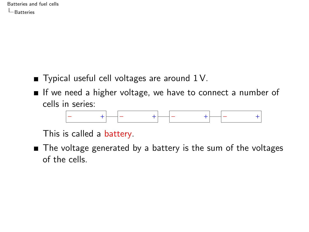- $\blacksquare$  Typical useful cell voltages are around 1 V.
- If we need a higher voltage, we have to connect a number of cells in series:



This is called a battery.

■ The voltage generated by a battery is the sum of the voltages of the cells.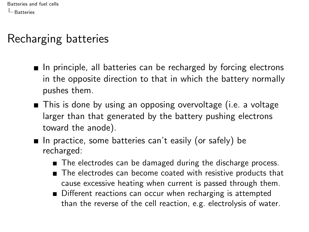# Recharging batteries

- $\blacksquare$  In principle, all batteries can be recharged by forcing electrons in the opposite direction to that in which the battery normally pushes them.
- This is done by using an opposing overvoltage (i.e. a voltage larger than that generated by the battery pushing electrons toward the anode).
- In practice, some batteries can't easily (or safely) be recharged:
	- The electrodes can be damaged during the discharge process.
	- The electrodes can become coated with resistive products that cause excessive heating when current is passed through them.
	- Different reactions can occur when recharging is attempted than the reverse of the cell reaction, e.g. electrolysis of water.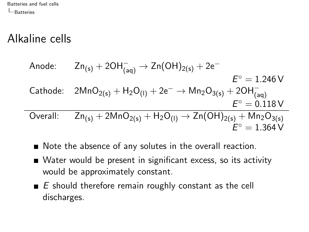$\overline{\phantom{0}}$ 

# Alkaline cells

Anode: 
$$
Zn_{(s)} + 2OH_{(aq)}^- \rightarrow Zn(OH)_{2(s)} + 2e^-
$$

\n
$$
E^{\circ} = 1.246 \text{ V}
$$
\nCathode:  $2MnO_{2(s)} + H_2O_{(l)} + 2e^- \rightarrow Mn_2O_{3(s)} + 2OH_{(aq)}^-$ 

\n
$$
E^{\circ} = 0.118 \text{ V}
$$
\nOverall:  $Zn_{(s)} + 2MnO_{2(s)} + H_2O_{(l)} \rightarrow Zn(OH)_{2(s)} + Mn_2O_{3(s)}^-$ 

\n
$$
E^{\circ} = 1.364 \text{ V}
$$

- Note the absence of any solutes in the overall reaction.
- Water would be present in significant excess, so its activity would be approximately constant.
- $\blacksquare$  E should therefore remain roughly constant as the cell discharges.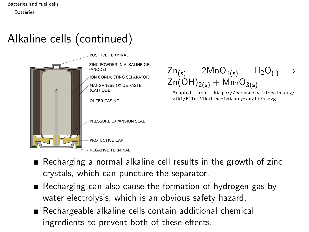# Alkaline cells (continued)



 $Zn_{(s)} + 2MnO_{2(s)} + H_2O_{(1)} \rightarrow$  $\text{Zn}(\text{OH})_{2(s)} + \text{Mn}_2\text{O}_{3(s)}$ 

Adapted from [https://commons.wikimedia.org/](https://commons.wikimedia.org/wiki/File:Alkaline-battery-english.svg) [wiki/File:Alkaline-battery-english.svg](https://commons.wikimedia.org/wiki/File:Alkaline-battery-english.svg)

- Recharging a normal alkaline cell results in the growth of zinc crystals, which can puncture the separator.
- Recharging can also cause the formation of hydrogen gas by water electrolysis, which is an obvious safety hazard.
- Rechargeable alkaline cells contain additional chemical ingredients to prevent both of these effects.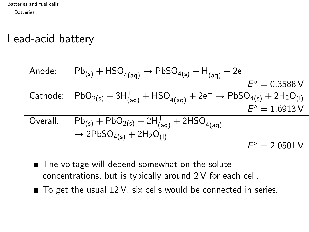# Lead-acid battery

Anode: 
$$
Pb_{(s)} + HSO_{4(aq)}^{-} \rightarrow PbSO_{4(s)} + H_{(aq)}^{+} + 2e^{-}
$$

\n
$$
E^{\circ} = 0.3588 \text{ V}
$$
\nCathode:  $PbO_{2(s)} + 3H_{(aq)}^{+} + HSO_{4(aq)}^{-} + 2e^{-} \rightarrow PbSO_{4(s)} + 2H_{2}O_{(l)}$ 

\n
$$
E^{\circ} = 1.6913 \text{ V}
$$
\nOverall:  $Pb_{(s)} + PbO_{2(s)} + 2H_{(aq)}^{+} + 2HSO_{4(aq)}^{-}$ 

\n
$$
\rightarrow 2PbSO_{4(s)} + 2H_{2}O_{(l)}
$$
\n
$$
E^{\circ} = 2.0501 \text{ V}
$$

- The voltage will depend somewhat on the solute concentrations, but is typically around 2 V for each cell.
- $\blacksquare$  To get the usual 12 V, six cells would be connected in series.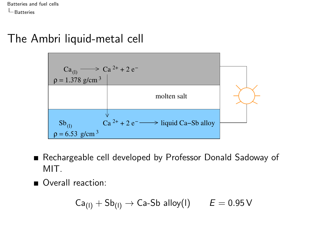### The Ambri liquid-metal cell



- Rechargeable cell developed by Professor Donald Sadoway of MIT.
- Overall reaction:

$$
\mathsf{Ca}_{(I)} + \mathsf{Sb}_{(I)} \rightarrow \mathsf{Ca}\text{-}\mathsf{Sb} \text{ alloy}(I) \qquad E = 0.95 \text{ V}
$$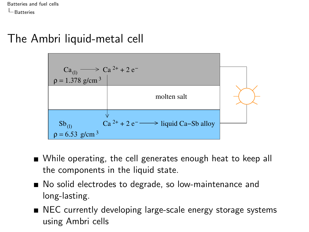### The Ambri liquid-metal cell



- While operating, the cell generates enough heat to keep all the components in the liquid state.
- No solid electrodes to degrade, so low-maintenance and long-lasting.
- NEC currently developing large-scale energy storage systems using Ambri cells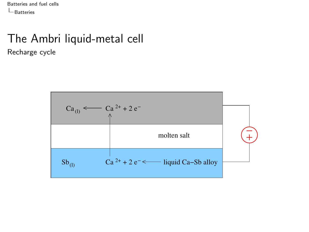#### The Ambri liquid-metal cell Recharge cycle

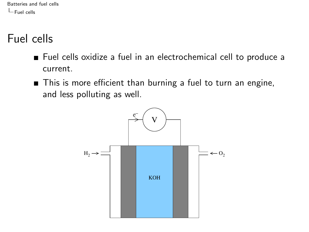<span id="page-10-0"></span>[Batteries and fuel cells](#page-0-0) [Fuel cells](#page-10-0)

# Fuel cells

- Fuel cells oxidize a fuel in an electrochemical cell to produce a current.
- This is more efficient than burning a fuel to turn an engine, and less polluting as well.

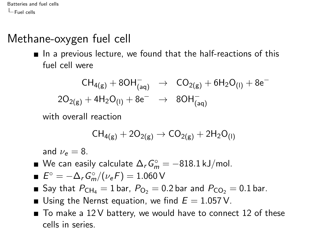[Batteries and fuel cells](#page-0-0)  $L$ [Fuel cells](#page-10-0)

# Methane-oxygen fuel cell

 $\blacksquare$  In a previous lecture, we found that the half-reactions of this fuel cell were

$$
\begin{array}{ccc}CH_{4(g)}+8OH_{(aq)}^{-}&\to&CO_{2(g)}+6H_{2}O_{(I)}+8e^{-}\\2O_{2(g)}+4H_{2}O_{(I)}+8e^{-}&\to&8OH_{(aq)}^{-}\end{array}
$$

with overall reaction

$$
CH_{4(g)} + 2O_{2(g)} \to CO_{2(g)} + 2H_2O_{(I)}
$$

and  $\nu_e = 8$ .

We can easily calculate  $\Delta_r G_m^\circ = -818.1$  kJ/mol.

$$
\blacksquare \ \mathsf{E}^{\circ} = -\Delta_{\mathsf{r}} \mathsf{G}_{\mathsf{m}}^{\circ}/(\nu_{\mathsf{e}} \mathsf{F}) = 1.060 \, \mathsf{V}
$$

- Say that  $P_{\text{CH}_4} = 1$  bar,  $P_{\text{O}_2} = 0.2$  bar and  $P_{\text{CO}_2} = 0.1$  bar.
- Using the Nernst equation, we find  $E = 1.057$  V.
- $\blacksquare$  To make a 12V battery, we would have to connect 12 of these cells in series.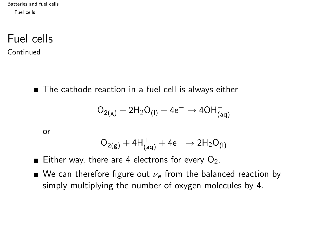[Batteries and fuel cells](#page-0-0)  $L_{\text{Euel cells}}$ 

Fuel cells Continued

■ The cathode reaction in a fuel cell is always either

$$
O_{2(g)} + 2 H_2 O_{(I)} + 4 e^- \rightarrow 4 O H^-_{(aq)}
$$

or

$$
\rm O_{2(g)} + 4H^+_{(aq)} + 4e^- \rightarrow 2H_2O_{(I)}
$$

- Either way, there are 4 electrons for every  $O_2$ .
- We can therefore figure out  $\nu_e$  from the balanced reaction by simply multiplying the number of oxygen molecules by 4.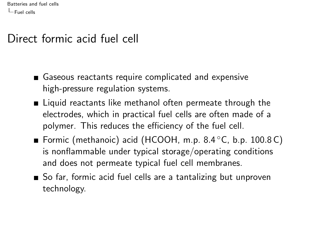[Batteries and fuel cells](#page-0-0)  $-$  [Fuel cells](#page-10-0)

## Direct formic acid fuel cell

- Gaseous reactants require complicated and expensive high-pressure regulation systems.
- Liquid reactants like methanol often permeate through the electrodes, which in practical fuel cells are often made of a polymer. This reduces the efficiency of the fuel cell.
- Formic (methanoic) acid (HCOOH, m.p. 8.4 ◦C, b.p. 100.8 C) is nonflammable under typical storage/operating conditions and does not permeate typical fuel cell membranes.
- So far, formic acid fuel cells are a tantalizing but unproven technology.